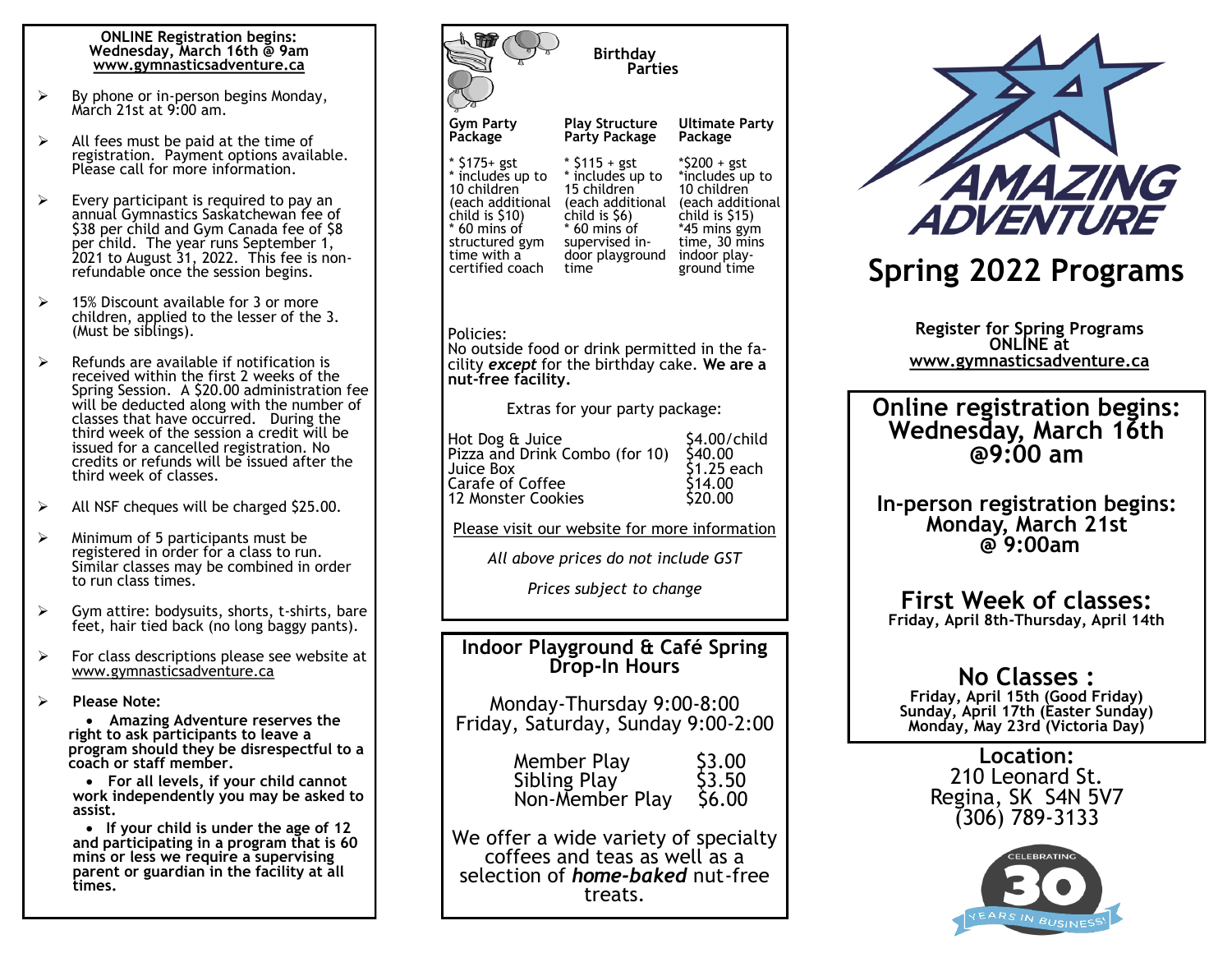#### **ONLINE Registration begins: Wednesday, March 16th @ 9am www.gymnasticsadventure.ca**

- $\triangleright$  By phone or in-person begins Monday, March 21st at 9:00 am.
- $\triangleright$  All fees must be paid at the time of registration. Payment options available. Please call for more information.
- $\triangleright$  Every participant is required to pay an annual Gymnastics Saskatchewan fee of \$38 per child and Gym Canada fee of \$8 per child. The year runs September 1, 2021 to August 31, 2022. This fee is nonrefundable once the session begins.
- $\geq$  15% Discount available for 3 or more children, applied to the lesser of the 3. (Must be siblings).
- $\triangleright$  Refunds are available if notification is received within the first 2 weeks of the Spring Session. A \$20.00 administration fee will be deducted along with the number of classes that have occurred. During the third week of the session a credit will be issued for a cancelled registration. No credits or refunds will be issued after the third week of classes.
- $\triangleright$  All NSF cheques will be charged \$25.00.
- $\triangleright$  Minimum of 5 participants must be registered in order for a class to run. Similar classes may be combined in order to run class times.
- $\triangleright$  Gym attire: bodysuits, shorts, t-shirts, bare feet, hair tied back (no long baggy pants).
- $\triangleright$  For class descriptions please see website at www.gymnasticsadventure.ca
- **Please Note:**

 **Amazing Adventure reserves the right to ask participants to leave a program should they be disrespectful to a coach or staff member.**

 **For all levels, if your child cannot work independently you may be asked to assist.**

 **If your child is under the age of 12 and participating in a program that is 60 mins or less we require a supervising parent or guardian in the facility at all times.** 

| The<br><b>Birthday</b><br><b>Parties</b>                                                                                                                                   |                                                                                                                                                    |                                                                                                                                                      |  |  |  |  |  |  |
|----------------------------------------------------------------------------------------------------------------------------------------------------------------------------|----------------------------------------------------------------------------------------------------------------------------------------------------|------------------------------------------------------------------------------------------------------------------------------------------------------|--|--|--|--|--|--|
| Gym Party<br>Package                                                                                                                                                       | <b>Play Structure</b><br>Party Package                                                                                                             | <b>Ultimate Party</b><br>Package                                                                                                                     |  |  |  |  |  |  |
| * \$175+ gst<br>* includes up to<br>10 children<br>(each additional<br>child is \$10)<br>* 60 mins of<br>structured gym<br>time with a<br>certified coach                  | * \$115 + gst<br>* includes up to<br>15 children<br>each additional)<br>child is \$6)<br>* 60 mins of<br>supervised in-<br>door playground<br>time | *\$200 + gst<br>*includes up to<br>10 children<br>(each additional<br>child is \$15)<br>*45 mins gym<br>time, 30 mins<br>indoor play-<br>ground time |  |  |  |  |  |  |
| Policies:<br>No outside food or drink permitted in the fa-<br>cility except for the birthday cake. We are a<br>nut-free facility.                                          |                                                                                                                                                    |                                                                                                                                                      |  |  |  |  |  |  |
| Extras for your party package:                                                                                                                                             |                                                                                                                                                    |                                                                                                                                                      |  |  |  |  |  |  |
| Hot Dog & Juice<br>\$4.00/child<br>Pizza and Drink Combo (for 10)<br>S40.00<br>1.25 each<br>Juice Box<br>514.00<br>Carafe of Coffee<br><b>Š20.00</b><br>12 Monster Cookies |                                                                                                                                                    |                                                                                                                                                      |  |  |  |  |  |  |
| Please visit our website for more information                                                                                                                              |                                                                                                                                                    |                                                                                                                                                      |  |  |  |  |  |  |
| All above prices do not include GST                                                                                                                                        |                                                                                                                                                    |                                                                                                                                                      |  |  |  |  |  |  |
| Prices subject to change                                                                                                                                                   |                                                                                                                                                    |                                                                                                                                                      |  |  |  |  |  |  |
| Indoor Playground & Café Spring<br><b>Drop-In Hours</b>                                                                                                                    |                                                                                                                                                    |                                                                                                                                                      |  |  |  |  |  |  |
| Monday-Thursday 9:00-8:00<br>Friday, Saturday, Sunday 9:00-2:00                                                                                                            |                                                                                                                                                    |                                                                                                                                                      |  |  |  |  |  |  |
|                                                                                                                                                                            | Member Play<br>Sibling Play<br>Non-Member Play                                                                                                     | 53.OO<br>\$3.50<br>\$6.00                                                                                                                            |  |  |  |  |  |  |
| We offer a wide variety of specialty<br>coffees and teas as well as a<br>selection of <i>home-baked</i> nut-free<br>treats.                                                |                                                                                                                                                    |                                                                                                                                                      |  |  |  |  |  |  |



# **Spring 2022 Programs**

**Register for Spring Programs ONLINE at www.gymnasticsadventure.ca**

**Online registration begins: Wednesday, March 16th @9:00 am**

**In-person registration begins: Monday, March 21st @ 9:00am**

## **First Week of classes:**

**Friday, April 8th-Thursday, April 14th**

### **No Classes :**

**Friday, April 15th (Good Friday) Sunday, April 17th (Easter Sunday) Monday, May 23rd (Victoria Day)**

> **Location:** 210 Leonard St. Regina, SK S4N 5V7 (306) 789-3133